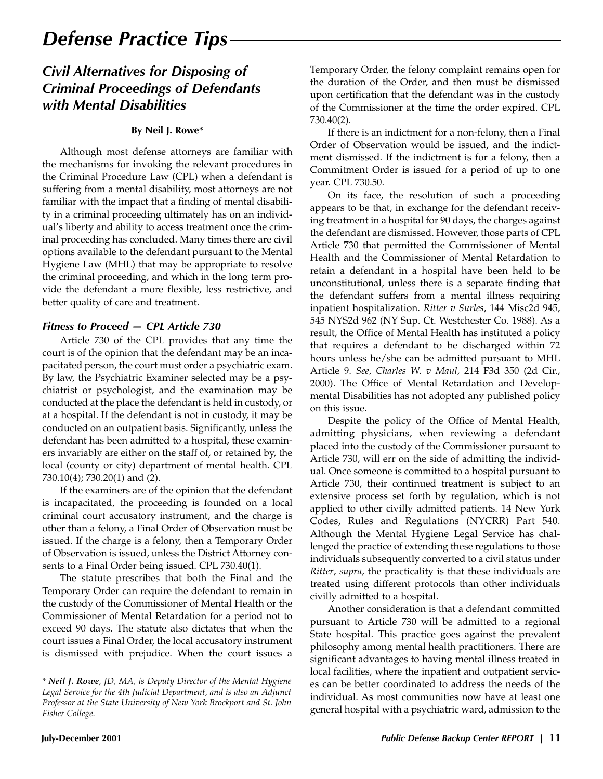# *Defense Practice Tips*

### *Civil Alternatives for Disposing of Criminal Proceedings of Defendants with Mental Disabilities*

#### **By Neil J. Rowe\***

Although most defense attorneys are familiar with the mechanisms for invoking the relevant procedures in the Criminal Procedure Law (CPL) when a defendant is suffering from a mental disability, most attorneys are not familiar with the impact that a finding of mental disability in a criminal proceeding ultimately has on an individual's liberty and ability to access treatment once the criminal proceeding has concluded. Many times there are civil options available to the defendant pursuant to the Mental Hygiene Law (MHL) that may be appropriate to resolve the criminal proceeding, and which in the long term provide the defendant a more flexible, less restrictive, and better quality of care and treatment.

#### *Fitness to Proceed — CPL Article 730*

Article 730 of the CPL provides that any time the court is of the opinion that the defendant may be an incapacitated person, the court must order a psychiatric exam. By law, the Psychiatric Examiner selected may be a psychiatrist or psychologist, and the examination may be conducted at the place the defendant is held in custody, or at a hospital. If the defendant is not in custody, it may be conducted on an outpatient basis. Significantly, unless the defendant has been admitted to a hospital, these examiners invariably are either on the staff of, or retained by, the local (county or city) department of mental health. CPL 730.10(4); 730.20(1) and (2).

If the examiners are of the opinion that the defendant is incapacitated, the proceeding is founded on a local criminal court accusatory instrument, and the charge is other than a felony, a Final Order of Observation must be issued. If the charge is a felony, then a Temporary Order of Observation is issued, unless the District Attorney consents to a Final Order being issued. CPL 730.40(1).

The statute prescribes that both the Final and the Temporary Order can require the defendant to remain in the custody of the Commissioner of Mental Health or the Commissioner of Mental Retardation for a period not to exceed 90 days. The statute also dictates that when the court issues a Final Order, the local accusatory instrument is dismissed with prejudice. When the court issues a

Temporary Order, the felony complaint remains open for the duration of the Order, and then must be dismissed upon certification that the defendant was in the custody of the Commissioner at the time the order expired. CPL 730.40(2).

If there is an indictment for a non-felony, then a Final Order of Observation would be issued, and the indictment dismissed. If the indictment is for a felony, then a Commitment Order is issued for a period of up to one year. CPL 730.50.

On its face, the resolution of such a proceeding appears to be that, in exchange for the defendant receiving treatment in a hospital for 90 days, the charges against the defendant are dismissed. However, those parts of CPL Article 730 that permitted the Commissioner of Mental Health and the Commissioner of Mental Retardation to retain a defendant in a hospital have been held to be unconstitutional, unless there is a separate finding that the defendant suffers from a mental illness requiring inpatient hospitalization. *Ritter v Surles*, 144 Misc2d 945, 545 NYS2d 962 (NY Sup. Ct. Westchester Co. 1988). As a result, the Office of Mental Health has instituted a policy that requires a defendant to be discharged within 72 hours unless he/she can be admitted pursuant to MHL Article 9. *See, Charles W. v Maul,* 214 F3d 350 (2d Cir., 2000). The Office of Mental Retardation and Developmental Disabilities has not adopted any published policy on this issue.

Despite the policy of the Office of Mental Health, admitting physicians, when reviewing a defendant placed into the custody of the Commissioner pursuant to Article 730, will err on the side of admitting the individual. Once someone is committed to a hospital pursuant to Article 730, their continued treatment is subject to an extensive process set forth by regulation, which is not applied to other civilly admitted patients. 14 New York Codes, Rules and Regulations (NYCRR) Part 540. Although the Mental Hygiene Legal Service has challenged the practice of extending these regulations to those individuals subsequently converted to a civil status under *Ritter*, *supra*, the practicality is that these individuals are treated using different protocols than other individuals civilly admitted to a hospital.

Another consideration is that a defendant committed pursuant to Article 730 will be admitted to a regional State hospital. This practice goes against the prevalent philosophy among mental health practitioners. There are significant advantages to having mental illness treated in local facilities, where the inpatient and outpatient services can be better coordinated to address the needs of the individual. As most communities now have at least one general hospital with a psychiatric ward, admission to the

<sup>\*</sup> *Neil J. Rowe, JD, MA, is Deputy Director of the Mental Hygiene Legal Service for the 4th Judicial Department, and is also an Adjunct Professor at the State University of New York Brockport and St. John Fisher College.*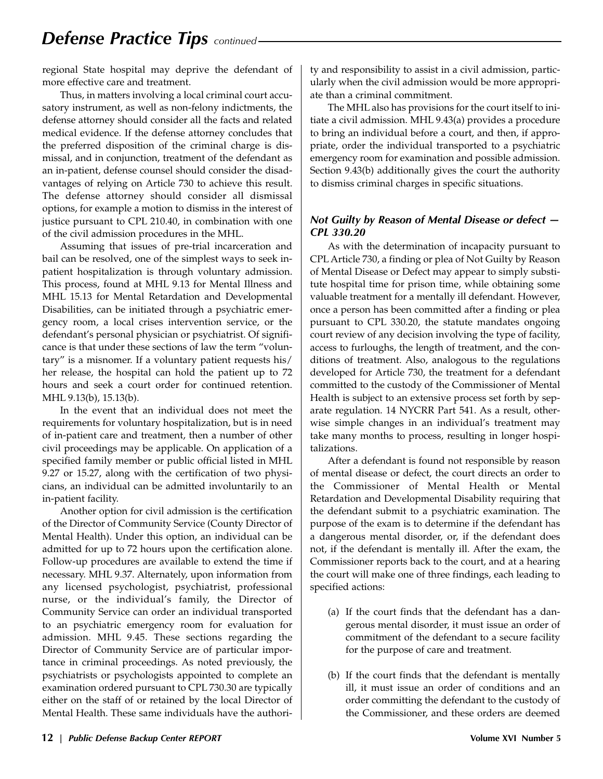## *Defense Practice Tips continued*

regional State hospital may deprive the defendant of more effective care and treatment.

Thus, in matters involving a local criminal court accusatory instrument, as well as non-felony indictments, the defense attorney should consider all the facts and related medical evidence. If the defense attorney concludes that the preferred disposition of the criminal charge is dismissal, and in conjunction, treatment of the defendant as an in-patient, defense counsel should consider the disadvantages of relying on Article 730 to achieve this result. The defense attorney should consider all dismissal options, for example a motion to dismiss in the interest of justice pursuant to CPL 210.40, in combination with one of the civil admission procedures in the MHL.

Assuming that issues of pre-trial incarceration and bail can be resolved, one of the simplest ways to seek inpatient hospitalization is through voluntary admission. This process, found at MHL 9.13 for Mental Illness and MHL 15.13 for Mental Retardation and Developmental Disabilities, can be initiated through a psychiatric emergency room, a local crises intervention service, or the defendant's personal physician or psychiatrist. Of significance is that under these sections of law the term "voluntary" is a misnomer. If a voluntary patient requests his/ her release, the hospital can hold the patient up to 72 hours and seek a court order for continued retention. MHL 9.13(b), 15.13(b).

In the event that an individual does not meet the requirements for voluntary hospitalization, but is in need of in-patient care and treatment, then a number of other civil proceedings may be applicable. On application of a specified family member or public official listed in MHL 9.27 or 15.27, along with the certification of two physicians, an individual can be admitted involuntarily to an in-patient facility.

Another option for civil admission is the certification of the Director of Community Service (County Director of Mental Health). Under this option, an individual can be admitted for up to 72 hours upon the certification alone. Follow-up procedures are available to extend the time if necessary. MHL 9.37. Alternately, upon information from any licensed psychologist, psychiatrist, professional nurse, or the individual's family, the Director of Community Service can order an individual transported to an psychiatric emergency room for evaluation for admission. MHL 9.45. These sections regarding the Director of Community Service are of particular importance in criminal proceedings. As noted previously, the psychiatrists or psychologists appointed to complete an examination ordered pursuant to CPL 730.30 are typically either on the staff of or retained by the local Director of Mental Health. These same individuals have the authori-

ty and responsibility to assist in a civil admission, particularly when the civil admission would be more appropriate than a criminal commitment.

The MHL also has provisions for the court itself to initiate a civil admission. MHL 9.43(a) provides a procedure to bring an individual before a court, and then, if appropriate, order the individual transported to a psychiatric emergency room for examination and possible admission. Section 9.43(b) additionally gives the court the authority to dismiss criminal charges in specific situations.

#### *Not Guilty by Reason of Mental Disease or defect — CPL 330.20*

As with the determination of incapacity pursuant to CPL Article 730, a finding or plea of Not Guilty by Reason of Mental Disease or Defect may appear to simply substitute hospital time for prison time, while obtaining some valuable treatment for a mentally ill defendant. However, once a person has been committed after a finding or plea pursuant to CPL 330.20, the statute mandates ongoing court review of any decision involving the type of facility, access to furloughs, the length of treatment, and the conditions of treatment. Also, analogous to the regulations developed for Article 730, the treatment for a defendant committed to the custody of the Commissioner of Mental Health is subject to an extensive process set forth by separate regulation. 14 NYCRR Part 541. As a result, otherwise simple changes in an individual's treatment may take many months to process, resulting in longer hospitalizations.

After a defendant is found not responsible by reason of mental disease or defect, the court directs an order to the Commissioner of Mental Health or Mental Retardation and Developmental Disability requiring that the defendant submit to a psychiatric examination. The purpose of the exam is to determine if the defendant has a dangerous mental disorder, or, if the defendant does not, if the defendant is mentally ill. After the exam, the Commissioner reports back to the court, and at a hearing the court will make one of three findings, each leading to specified actions:

- (a) If the court finds that the defendant has a dangerous mental disorder, it must issue an order of commitment of the defendant to a secure facility for the purpose of care and treatment.
- (b) If the court finds that the defendant is mentally ill, it must issue an order of conditions and an order committing the defendant to the custody of the Commissioner, and these orders are deemed